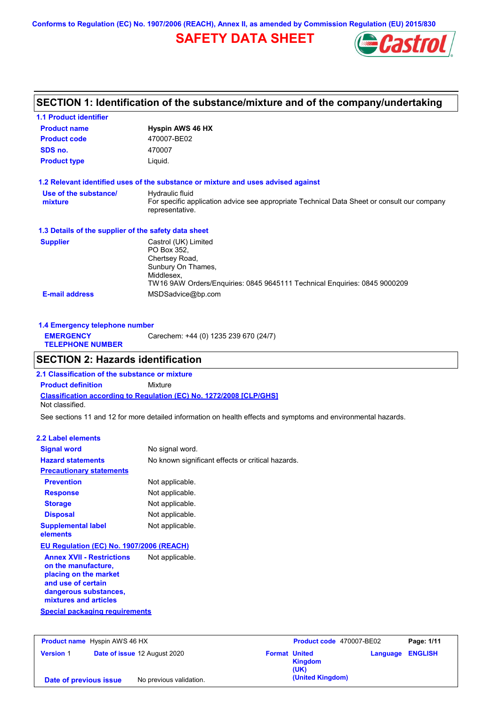**Conforms to Regulation (EC) No. 1907/2006 (REACH), Annex II, as amended by Commission Regulation (EU) 2015/830**

# **SAFETY DATA SHEET**



# **SECTION 1: Identification of the substance/mixture and of the company/undertaking**

| <b>1.1 Product identifier</b>                        |                                                                                                                                                                        |  |  |  |
|------------------------------------------------------|------------------------------------------------------------------------------------------------------------------------------------------------------------------------|--|--|--|
| <b>Product name</b>                                  | <b>Hyspin AWS 46 HX</b>                                                                                                                                                |  |  |  |
| <b>Product code</b><br>470007-BE02                   |                                                                                                                                                                        |  |  |  |
| SDS no.                                              | 470007                                                                                                                                                                 |  |  |  |
| <b>Product type</b>                                  | Liquid.                                                                                                                                                                |  |  |  |
|                                                      | 1.2 Relevant identified uses of the substance or mixture and uses advised against                                                                                      |  |  |  |
| Use of the substance/<br>mixture                     | Hydraulic fluid<br>For specific application advice see appropriate Technical Data Sheet or consult our company<br>representative.                                      |  |  |  |
| 1.3 Details of the supplier of the safety data sheet |                                                                                                                                                                        |  |  |  |
| <b>Supplier</b>                                      | Castrol (UK) Limited<br>PO Box 352.<br>Chertsey Road,<br>Sunbury On Thames,<br>Middlesex.<br>TW16 9AW Orders/Enquiries: 0845 9645111 Technical Enquiries: 0845 9000209 |  |  |  |
| <b>E-mail address</b>                                | MSDSadvice@bp.com                                                                                                                                                      |  |  |  |

| 1.4 Emergency telephone number              |                                       |  |
|---------------------------------------------|---------------------------------------|--|
| <b>EMERGENCY</b><br><b>TELEPHONE NUMBER</b> | Carechem: +44 (0) 1235 239 670 (24/7) |  |

## **SECTION 2: Hazards identification**

**Classification according to Regulation (EC) No. 1272/2008 [CLP/GHS] 2.1 Classification of the substance or mixture Product definition** Mixture Not classified.

See sections 11 and 12 for more detailed information on health effects and symptoms and environmental hazards.

### **2.2 Label elements**

| <b>Signal word</b>                                                                                                                                       | No signal word.                                   |  |  |
|----------------------------------------------------------------------------------------------------------------------------------------------------------|---------------------------------------------------|--|--|
| <b>Hazard statements</b>                                                                                                                                 | No known significant effects or critical hazards. |  |  |
| <b>Precautionary statements</b>                                                                                                                          |                                                   |  |  |
| <b>Prevention</b>                                                                                                                                        | Not applicable.                                   |  |  |
| <b>Response</b>                                                                                                                                          | Not applicable.                                   |  |  |
| <b>Storage</b>                                                                                                                                           | Not applicable.                                   |  |  |
| <b>Disposal</b>                                                                                                                                          | Not applicable.                                   |  |  |
| <b>Supplemental label</b><br>elements                                                                                                                    | Not applicable.                                   |  |  |
| <b>EU Regulation (EC) No. 1907/2006 (REACH)</b>                                                                                                          |                                                   |  |  |
| <b>Annex XVII - Restrictions</b><br>on the manufacture,<br>placing on the market<br>and use of certain<br>dangerous substances,<br>mixtures and articles | Not applicable.                                   |  |  |
| <b>Special packaging requirements</b>                                                                                                                    |                                                   |  |  |

| <b>Product name</b> Hyspin AWS 46 HX |  | Product code 470007-BE02     |                      | Page: 1/11       |                         |  |
|--------------------------------------|--|------------------------------|----------------------|------------------|-------------------------|--|
| <b>Version 1</b>                     |  | Date of issue 12 August 2020 | <b>Format United</b> | Kingdom<br>(UK)  | <b>Language ENGLISH</b> |  |
| Date of previous issue               |  | No previous validation.      |                      | (United Kingdom) |                         |  |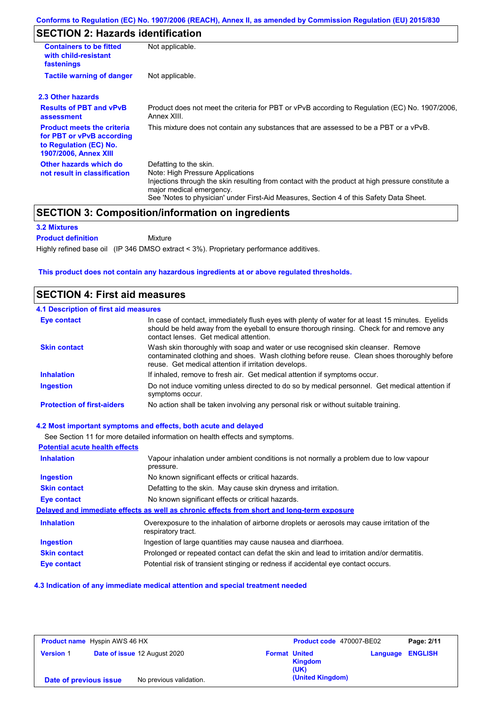# **SECTION 2: Hazards identification**

| <b>Containers to be fitted</b><br>with child-resistant<br>fastenings                                                                                                                                                                                                                                                                             | Not applicable.                                                                                               |  |  |  |
|--------------------------------------------------------------------------------------------------------------------------------------------------------------------------------------------------------------------------------------------------------------------------------------------------------------------------------------------------|---------------------------------------------------------------------------------------------------------------|--|--|--|
| <b>Tactile warning of danger</b>                                                                                                                                                                                                                                                                                                                 | Not applicable.                                                                                               |  |  |  |
| 2.3 Other hazards                                                                                                                                                                                                                                                                                                                                |                                                                                                               |  |  |  |
| <b>Results of PBT and vPvB</b><br>assessment                                                                                                                                                                                                                                                                                                     | Product does not meet the criteria for PBT or vPvB according to Regulation (EC) No. 1907/2006,<br>Annex XIII. |  |  |  |
| <b>Product meets the criteria</b><br>for PBT or vPvB according<br>to Regulation (EC) No.<br><b>1907/2006, Annex XIII</b>                                                                                                                                                                                                                         | This mixture does not contain any substances that are assessed to be a PBT or a vPvB.                         |  |  |  |
| Other hazards which do<br>Defatting to the skin.<br>Note: High Pressure Applications<br>not result in classification<br>Injections through the skin resulting from contact with the product at high pressure constitute a<br>major medical emergency.<br>See 'Notes to physician' under First-Aid Measures, Section 4 of this Safety Data Sheet. |                                                                                                               |  |  |  |

### **SECTION 3: Composition/information on ingredients**

Mixture

### **3.2 Mixtures**

**Product definition**

Highly refined base oil (IP 346 DMSO extract < 3%). Proprietary performance additives.

#### **This product does not contain any hazardous ingredients at or above regulated thresholds.**

### **SECTION 4: First aid measures**

| <b>4.1 Description of first aid measures</b> |                                                                                                                                                                                                                                         |
|----------------------------------------------|-----------------------------------------------------------------------------------------------------------------------------------------------------------------------------------------------------------------------------------------|
| Eye contact                                  | In case of contact, immediately flush eyes with plenty of water for at least 15 minutes. Eyelids<br>should be held away from the eyeball to ensure thorough rinsing. Check for and remove any<br>contact lenses. Get medical attention. |
| <b>Skin contact</b>                          | Wash skin thoroughly with soap and water or use recognised skin cleanser. Remove<br>contaminated clothing and shoes. Wash clothing before reuse. Clean shoes thoroughly before<br>reuse. Get medical attention if irritation develops.  |
| <b>Inhalation</b>                            | If inhaled, remove to fresh air. Get medical attention if symptoms occur.                                                                                                                                                               |
| <b>Ingestion</b>                             | Do not induce vomiting unless directed to do so by medical personnel. Get medical attention if<br>symptoms occur.                                                                                                                       |
| <b>Protection of first-aiders</b>            | No action shall be taken involving any personal risk or without suitable training.                                                                                                                                                      |

#### **4.2 Most important symptoms and effects, both acute and delayed**

See Section 11 for more detailed information on health effects and symptoms. **Potential acute health effects Inhalation** Vapour inhalation under ambient conditions is not normally a problem due to low vapour pressure. **Ingestion** No known significant effects or critical hazards. **Skin contact** Defatting to the skin. May cause skin dryness and irritation. **Eye contact** No known significant effects or critical hazards. **Delayed and immediate effects as well as chronic effects from short and long-term exposure Inhalation Ingestion Skin contact Eye contact** Overexposure to the inhalation of airborne droplets or aerosols may cause irritation of the respiratory tract. Ingestion of large quantities may cause nausea and diarrhoea. Prolonged or repeated contact can defat the skin and lead to irritation and/or dermatitis. Potential risk of transient stinging or redness if accidental eye contact occurs.

#### **4.3 Indication of any immediate medical attention and special treatment needed**

| <b>Product name</b> Hyspin AWS 46 HX |                                     | Product code 470007-BE02 |                      | Page: 2/11             |          |                |
|--------------------------------------|-------------------------------------|--------------------------|----------------------|------------------------|----------|----------------|
| <b>Version 1</b>                     | <b>Date of issue 12 August 2020</b> |                          | <b>Format United</b> | <b>Kingdom</b><br>(UK) | Language | <b>ENGLISH</b> |
| Date of previous issue               |                                     | No previous validation.  |                      | (United Kingdom)       |          |                |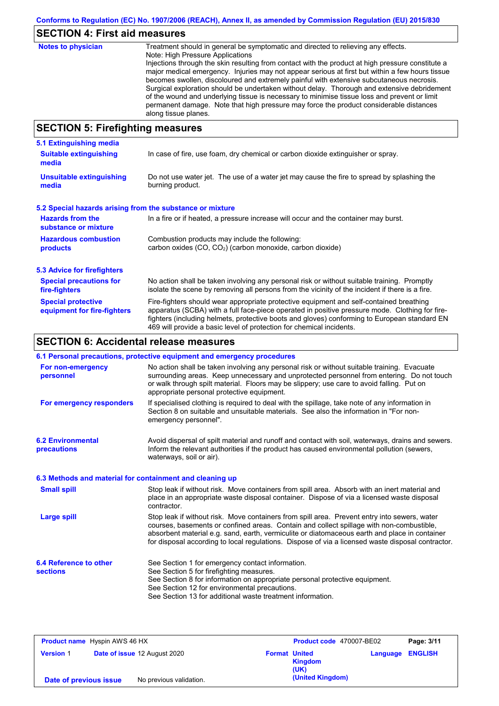# **SECTION 4: First aid measures**

| <b>Notes to physician</b>          | Treatment should in general be symptomatic and directed to relieving any effects.<br>Note: High Pressure Applications<br>Injections through the skin resulting from contact with the product at high pressure constitute a<br>major medical emergency. Injuries may not appear serious at first but within a few hours tissue<br>becomes swollen, discoloured and extremely painful with extensive subcutaneous necrosis.<br>Surgical exploration should be undertaken without delay. Thorough and extensive debridement<br>of the wound and underlying tissue is necessary to minimise tissue loss and prevent or limit<br>permanent damage. Note that high pressure may force the product considerable distances<br>along tissue planes. |
|------------------------------------|--------------------------------------------------------------------------------------------------------------------------------------------------------------------------------------------------------------------------------------------------------------------------------------------------------------------------------------------------------------------------------------------------------------------------------------------------------------------------------------------------------------------------------------------------------------------------------------------------------------------------------------------------------------------------------------------------------------------------------------------|
| CECTION E. Einefinkting measonings |                                                                                                                                                                                                                                                                                                                                                                                                                                                                                                                                                                                                                                                                                                                                            |

## **SECTION 5: Firefighting measures**

| 5.1 Extinguishing media                                                                                                                                                                                                                                                                                                                                                                                                       |                                                                                                                |  |  |
|-------------------------------------------------------------------------------------------------------------------------------------------------------------------------------------------------------------------------------------------------------------------------------------------------------------------------------------------------------------------------------------------------------------------------------|----------------------------------------------------------------------------------------------------------------|--|--|
| In case of fire, use foam, dry chemical or carbon dioxide extinguisher or spray.<br><b>Suitable extinguishing</b><br>media                                                                                                                                                                                                                                                                                                    |                                                                                                                |  |  |
| <b>Unsuitable extinguishing</b><br>media                                                                                                                                                                                                                                                                                                                                                                                      | Do not use water jet. The use of a water jet may cause the fire to spread by splashing the<br>burning product. |  |  |
| 5.2 Special hazards arising from the substance or mixture                                                                                                                                                                                                                                                                                                                                                                     |                                                                                                                |  |  |
| <b>Hazards from the</b><br>In a fire or if heated, a pressure increase will occur and the container may burst.<br>substance or mixture                                                                                                                                                                                                                                                                                        |                                                                                                                |  |  |
| <b>Hazardous combustion</b>                                                                                                                                                                                                                                                                                                                                                                                                   | Combustion products may include the following:                                                                 |  |  |
| products                                                                                                                                                                                                                                                                                                                                                                                                                      | carbon oxides $(CO, CO2)$ (carbon monoxide, carbon dioxide)                                                    |  |  |
| 5.3 Advice for firefighters                                                                                                                                                                                                                                                                                                                                                                                                   |                                                                                                                |  |  |
| No action shall be taken involving any personal risk or without suitable training. Promptly<br><b>Special precautions for</b><br>isolate the scene by removing all persons from the vicinity of the incident if there is a fire.<br>fire-fighters                                                                                                                                                                             |                                                                                                                |  |  |
| <b>Special protective</b><br>Fire-fighters should wear appropriate protective equipment and self-contained breathing<br>apparatus (SCBA) with a full face-piece operated in positive pressure mode. Clothing for fire-<br>equipment for fire-fighters<br>fighters (including helmets, protective boots and gloves) conforming to European standard EN<br>469 will provide a basic level of protection for chemical incidents. |                                                                                                                |  |  |

# **SECTION 6: Accidental release measures**

|                                                          | 6.1 Personal precautions, protective equipment and emergency procedures                                                                                                                                                                                                                                                                                                                        |
|----------------------------------------------------------|------------------------------------------------------------------------------------------------------------------------------------------------------------------------------------------------------------------------------------------------------------------------------------------------------------------------------------------------------------------------------------------------|
| For non-emergency<br>personnel                           | No action shall be taken involving any personal risk or without suitable training. Evacuate<br>surrounding areas. Keep unnecessary and unprotected personnel from entering. Do not touch<br>or walk through spilt material. Floors may be slippery; use care to avoid falling. Put on<br>appropriate personal protective equipment.                                                            |
| For emergency responders                                 | If specialised clothing is required to deal with the spillage, take note of any information in<br>Section 8 on suitable and unsuitable materials. See also the information in "For non-<br>emergency personnel".                                                                                                                                                                               |
| <b>6.2 Environmental</b><br>precautions                  | Avoid dispersal of spilt material and runoff and contact with soil, waterways, drains and sewers.<br>Inform the relevant authorities if the product has caused environmental pollution (sewers,<br>waterways, soil or air).                                                                                                                                                                    |
| 6.3 Methods and material for containment and cleaning up |                                                                                                                                                                                                                                                                                                                                                                                                |
| <b>Small spill</b>                                       | Stop leak if without risk. Move containers from spill area. Absorb with an inert material and<br>place in an appropriate waste disposal container. Dispose of via a licensed waste disposal<br>contractor.                                                                                                                                                                                     |
| <b>Large spill</b>                                       | Stop leak if without risk. Move containers from spill area. Prevent entry into sewers, water<br>courses, basements or confined areas. Contain and collect spillage with non-combustible,<br>absorbent material e.g. sand, earth, vermiculite or diatomaceous earth and place in container<br>for disposal according to local regulations. Dispose of via a licensed waste disposal contractor. |
| 6.4 Reference to other<br><b>sections</b>                | See Section 1 for emergency contact information.<br>See Section 5 for firefighting measures.<br>See Section 8 for information on appropriate personal protective equipment.<br>See Section 12 for environmental precautions.<br>See Section 13 for additional waste treatment information.                                                                                                     |

| <b>Product name</b> Hyspin AWS 46 HX |  |                              | Product code 470007-BE02 |                  | Page: 3/11 |                |
|--------------------------------------|--|------------------------------|--------------------------|------------------|------------|----------------|
| <b>Version 1</b>                     |  | Date of issue 12 August 2020 | <b>Format United</b>     | Kingdom<br>(UK)  | Language   | <b>ENGLISH</b> |
| Date of previous issue               |  | No previous validation.      |                          | (United Kingdom) |            |                |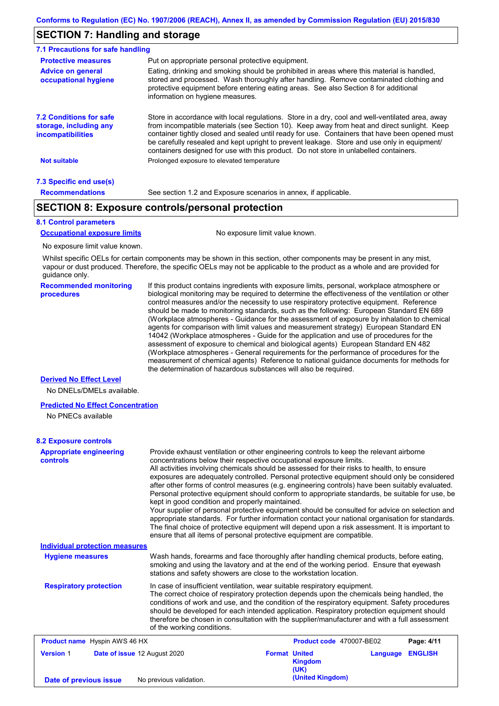### **SECTION 7: Handling and storage**

| 7.1 Precautions for safe handling                                                    |                                                                                                                                                                                                                                                                                                                                                                                                                                                                                          |  |  |  |
|--------------------------------------------------------------------------------------|------------------------------------------------------------------------------------------------------------------------------------------------------------------------------------------------------------------------------------------------------------------------------------------------------------------------------------------------------------------------------------------------------------------------------------------------------------------------------------------|--|--|--|
| <b>Protective measures</b>                                                           | Put on appropriate personal protective equipment.                                                                                                                                                                                                                                                                                                                                                                                                                                        |  |  |  |
| <b>Advice on general</b><br>occupational hygiene                                     | Eating, drinking and smoking should be prohibited in areas where this material is handled.<br>stored and processed. Wash thoroughly after handling. Remove contaminated clothing and<br>protective equipment before entering eating areas. See also Section 8 for additional<br>information on hygiene measures.                                                                                                                                                                         |  |  |  |
| <b>7.2 Conditions for safe</b><br>storage, including any<br><i>incompatibilities</i> | Store in accordance with local regulations. Store in a dry, cool and well-ventilated area, away<br>from incompatible materials (see Section 10). Keep away from heat and direct sunlight. Keep<br>container tightly closed and sealed until ready for use. Containers that have been opened must<br>be carefully resealed and kept upright to prevent leakage. Store and use only in equipment/<br>containers designed for use with this product. Do not store in unlabelled containers. |  |  |  |
| <b>Not suitable</b>                                                                  | Prolonged exposure to elevated temperature                                                                                                                                                                                                                                                                                                                                                                                                                                               |  |  |  |
| 7.3 Specific end use(s)                                                              |                                                                                                                                                                                                                                                                                                                                                                                                                                                                                          |  |  |  |
| <b>Recommendations</b>                                                               | See section 1.2 and Exposure scenarios in annex, if applicable.                                                                                                                                                                                                                                                                                                                                                                                                                          |  |  |  |

### **SECTION 8: Exposure controls/personal protection**

#### **8.1 Control parameters**

**Occupational exposure limits** No exposure limit value known.

No exposure limit value known.

Whilst specific OELs for certain components may be shown in this section, other components may be present in any mist, vapour or dust produced. Therefore, the specific OELs may not be applicable to the product as a whole and are provided for guidance only.

**Recommended monitoring procedures** If this product contains ingredients with exposure limits, personal, workplace atmosphere or biological monitoring may be required to determine the effectiveness of the ventilation or other control measures and/or the necessity to use respiratory protective equipment. Reference should be made to monitoring standards, such as the following: European Standard EN 689 (Workplace atmospheres - Guidance for the assessment of exposure by inhalation to chemical agents for comparison with limit values and measurement strategy) European Standard EN 14042 (Workplace atmospheres - Guide for the application and use of procedures for the assessment of exposure to chemical and biological agents) European Standard EN 482 (Workplace atmospheres - General requirements for the performance of procedures for the measurement of chemical agents) Reference to national guidance documents for methods for the determination of hazardous substances will also be required.

#### **Derived No Effect Level**

No DNELs/DMELs available.

#### **Predicted No Effect Concentration**

No PNECs available

#### **8.2 Exposure controls**

| <b>Appropriate engineering</b><br>controls | Provide exhaust ventilation or other engineering controls to keep the relevant airborne<br>concentrations below their respective occupational exposure limits.<br>All activities involving chemicals should be assessed for their risks to health, to ensure<br>exposures are adequately controlled. Personal protective equipment should only be considered<br>after other forms of control measures (e.g. engineering controls) have been suitably evaluated.<br>Personal protective equipment should conform to appropriate standards, be suitable for use, be<br>kept in good condition and properly maintained.<br>Your supplier of personal protective equipment should be consulted for advice on selection and<br>appropriate standards. For further information contact your national organisation for standards.<br>The final choice of protective equipment will depend upon a risk assessment. It is important to<br>ensure that all items of personal protective equipment are compatible. |                      |                          |          |                |
|--------------------------------------------|---------------------------------------------------------------------------------------------------------------------------------------------------------------------------------------------------------------------------------------------------------------------------------------------------------------------------------------------------------------------------------------------------------------------------------------------------------------------------------------------------------------------------------------------------------------------------------------------------------------------------------------------------------------------------------------------------------------------------------------------------------------------------------------------------------------------------------------------------------------------------------------------------------------------------------------------------------------------------------------------------------|----------------------|--------------------------|----------|----------------|
| <b>Individual protection measures</b>      |                                                                                                                                                                                                                                                                                                                                                                                                                                                                                                                                                                                                                                                                                                                                                                                                                                                                                                                                                                                                         |                      |                          |          |                |
| <b>Hygiene measures</b>                    | Wash hands, forearms and face thoroughly after handling chemical products, before eating,<br>smoking and using the lavatory and at the end of the working period. Ensure that eyewash<br>stations and safety showers are close to the workstation location.                                                                                                                                                                                                                                                                                                                                                                                                                                                                                                                                                                                                                                                                                                                                             |                      |                          |          |                |
| <b>Respiratory protection</b>              | In case of insufficient ventilation, wear suitable respiratory equipment.<br>The correct choice of respiratory protection depends upon the chemicals being handled, the<br>conditions of work and use, and the condition of the respiratory equipment. Safety procedures<br>should be developed for each intended application. Respiratory protection equipment should<br>therefore be chosen in consultation with the supplier/manufacturer and with a full assessment<br>of the working conditions.                                                                                                                                                                                                                                                                                                                                                                                                                                                                                                   |                      |                          |          |                |
| <b>Product name</b> Hyspin AWS 46 HX       |                                                                                                                                                                                                                                                                                                                                                                                                                                                                                                                                                                                                                                                                                                                                                                                                                                                                                                                                                                                                         |                      | Product code 470007-BE02 |          | Page: 4/11     |
| <b>Version 1</b>                           | Date of issue 12 August 2020                                                                                                                                                                                                                                                                                                                                                                                                                                                                                                                                                                                                                                                                                                                                                                                                                                                                                                                                                                            | <b>Format United</b> | <b>Kingdom</b><br>(UK)   | Language | <b>ENGLISH</b> |
| Date of previous issue                     | No previous validation.                                                                                                                                                                                                                                                                                                                                                                                                                                                                                                                                                                                                                                                                                                                                                                                                                                                                                                                                                                                 |                      | (United Kingdom)         |          |                |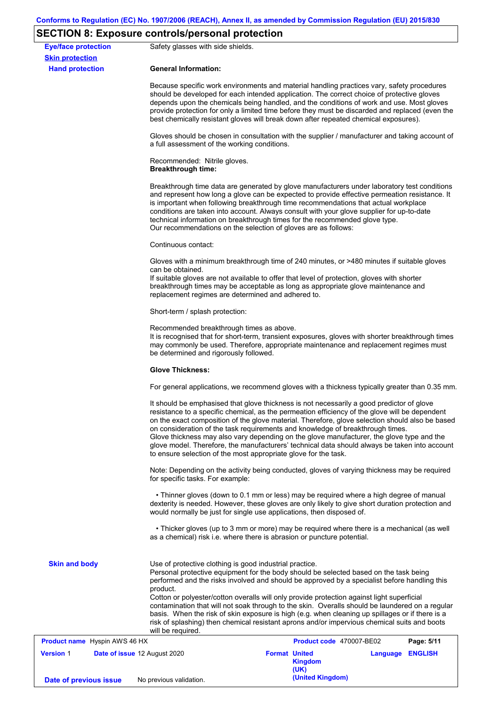# **SECTION 8: Exposure controls/personal protection**

| <b>Eye/face protection</b><br><b>Skin protection</b> | Safety glasses with side shields.                                                  |                                                                                                                                                                                                                                                                                                                                                                                                                                                                                                                                                                                           |
|------------------------------------------------------|------------------------------------------------------------------------------------|-------------------------------------------------------------------------------------------------------------------------------------------------------------------------------------------------------------------------------------------------------------------------------------------------------------------------------------------------------------------------------------------------------------------------------------------------------------------------------------------------------------------------------------------------------------------------------------------|
| <b>Hand protection</b>                               | <b>General Information:</b>                                                        |                                                                                                                                                                                                                                                                                                                                                                                                                                                                                                                                                                                           |
|                                                      |                                                                                    | Because specific work environments and material handling practices vary, safety procedures<br>should be developed for each intended application. The correct choice of protective gloves<br>depends upon the chemicals being handled, and the conditions of work and use. Most gloves<br>provide protection for only a limited time before they must be discarded and replaced (even the<br>best chemically resistant gloves will break down after repeated chemical exposures).                                                                                                          |
|                                                      | a full assessment of the working conditions.                                       | Gloves should be chosen in consultation with the supplier / manufacturer and taking account of                                                                                                                                                                                                                                                                                                                                                                                                                                                                                            |
|                                                      | Recommended: Nitrile gloves.<br><b>Breakthrough time:</b>                          |                                                                                                                                                                                                                                                                                                                                                                                                                                                                                                                                                                                           |
|                                                      | Our recommendations on the selection of gloves are as follows:                     | Breakthrough time data are generated by glove manufacturers under laboratory test conditions<br>and represent how long a glove can be expected to provide effective permeation resistance. It<br>is important when following breakthrough time recommendations that actual workplace<br>conditions are taken into account. Always consult with your glove supplier for up-to-date<br>technical information on breakthrough times for the recommended glove type.                                                                                                                          |
|                                                      | Continuous contact:                                                                |                                                                                                                                                                                                                                                                                                                                                                                                                                                                                                                                                                                           |
|                                                      | can be obtained.<br>replacement regimes are determined and adhered to.             | Gloves with a minimum breakthrough time of 240 minutes, or >480 minutes if suitable gloves<br>If suitable gloves are not available to offer that level of protection, gloves with shorter<br>breakthrough times may be acceptable as long as appropriate glove maintenance and                                                                                                                                                                                                                                                                                                            |
|                                                      | Short-term / splash protection:                                                    |                                                                                                                                                                                                                                                                                                                                                                                                                                                                                                                                                                                           |
|                                                      | Recommended breakthrough times as above.<br>be determined and rigorously followed. | It is recognised that for short-term, transient exposures, gloves with shorter breakthrough times<br>may commonly be used. Therefore, appropriate maintenance and replacement regimes must                                                                                                                                                                                                                                                                                                                                                                                                |
|                                                      | <b>Glove Thickness:</b>                                                            |                                                                                                                                                                                                                                                                                                                                                                                                                                                                                                                                                                                           |
|                                                      |                                                                                    | For general applications, we recommend gloves with a thickness typically greater than 0.35 mm.                                                                                                                                                                                                                                                                                                                                                                                                                                                                                            |
|                                                      | to ensure selection of the most appropriate glove for the task.                    | It should be emphasised that glove thickness is not necessarily a good predictor of glove<br>resistance to a specific chemical, as the permeation efficiency of the glove will be dependent<br>on the exact composition of the glove material. Therefore, glove selection should also be based<br>on consideration of the task requirements and knowledge of breakthrough times.<br>Glove thickness may also vary depending on the glove manufacturer, the glove type and the<br>glove model. Therefore, the manufacturers' technical data should always be taken into account            |
|                                                      | for specific tasks. For example:                                                   | Note: Depending on the activity being conducted, gloves of varying thickness may be required                                                                                                                                                                                                                                                                                                                                                                                                                                                                                              |
|                                                      | would normally be just for single use applications, then disposed of.              | • Thinner gloves (down to 0.1 mm or less) may be required where a high degree of manual<br>dexterity is needed. However, these gloves are only likely to give short duration protection and                                                                                                                                                                                                                                                                                                                                                                                               |
|                                                      | as a chemical) risk i.e. where there is abrasion or puncture potential.            | • Thicker gloves (up to 3 mm or more) may be required where there is a mechanical (as well                                                                                                                                                                                                                                                                                                                                                                                                                                                                                                |
| <b>Skin and body</b>                                 | Use of protective clothing is good industrial practice.<br>product.                | Personal protective equipment for the body should be selected based on the task being<br>performed and the risks involved and should be approved by a specialist before handling this<br>Cotton or polyester/cotton overalls will only provide protection against light superficial<br>contamination that will not soak through to the skin. Overalls should be laundered on a regular<br>basis. When the risk of skin exposure is high (e.g. when cleaning up spillages or if there is a<br>risk of splashing) then chemical resistant aprons and/or impervious chemical suits and boots |
| Product name Hyspin AWS 46 HX                        | will be required.                                                                  | Product code 470007-BE02<br>Page: 5/11                                                                                                                                                                                                                                                                                                                                                                                                                                                                                                                                                    |
| <b>Version 1</b>                                     | Date of issue 12 August 2020                                                       | <b>Format United</b><br>Language ENGLISH<br><b>Kingdom</b><br>(UK)                                                                                                                                                                                                                                                                                                                                                                                                                                                                                                                        |
| Date of previous issue                               | No previous validation.                                                            | (United Kingdom)                                                                                                                                                                                                                                                                                                                                                                                                                                                                                                                                                                          |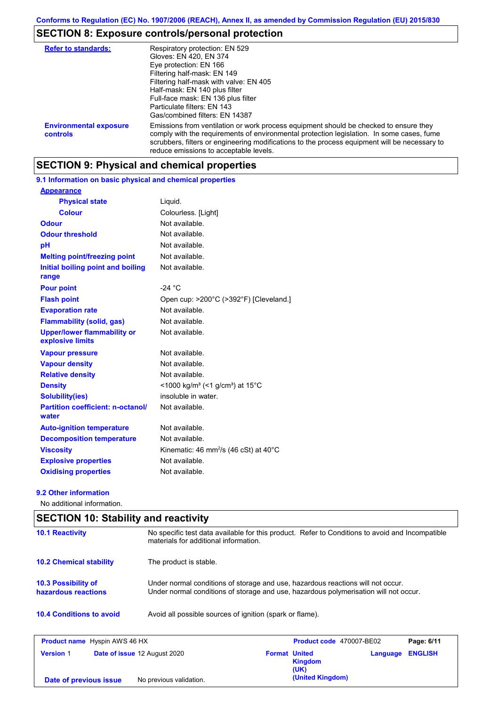# **SECTION 8: Exposure controls/personal protection**

| <b>Refer to standards:</b>                | Respiratory protection: EN 529<br>Gloves: EN 420, EN 374<br>Eye protection: EN 166<br>Filtering half-mask: EN 149<br>Filtering half-mask with valve: EN 405<br>Half-mask: EN 140 plus filter<br>Full-face mask: EN 136 plus filter<br>Particulate filters: EN 143<br>Gas/combined filters: EN 14387                           |
|-------------------------------------------|-------------------------------------------------------------------------------------------------------------------------------------------------------------------------------------------------------------------------------------------------------------------------------------------------------------------------------|
| <b>Environmental exposure</b><br>controls | Emissions from ventilation or work process equipment should be checked to ensure they<br>comply with the requirements of environmental protection legislation. In some cases, fume<br>scrubbers, filters or engineering modifications to the process equipment will be necessary to<br>reduce emissions to acceptable levels. |

## **SECTION 9: Physical and chemical properties**

### **9.1 Information on basic physical and chemical properties**

| <b>Appearance</b>                                      |                                                                         |
|--------------------------------------------------------|-------------------------------------------------------------------------|
| <b>Physical state</b>                                  | Liquid.                                                                 |
| <b>Colour</b>                                          | Colourless. [Light]                                                     |
| <b>Odour</b>                                           | Not available.                                                          |
| <b>Odour threshold</b>                                 | Not available.                                                          |
| pH                                                     | Not available.                                                          |
| <b>Melting point/freezing point</b>                    | Not available.                                                          |
| Initial boiling point and boiling<br>range             | Not available.                                                          |
| <b>Pour point</b>                                      | $-24 °C$                                                                |
| <b>Flash point</b>                                     | Open cup: >200°C (>392°F) [Cleveland.]                                  |
| <b>Evaporation rate</b>                                | Not available.                                                          |
| <b>Flammability (solid, gas)</b>                       | Not available.                                                          |
| <b>Upper/lower flammability or</b><br>explosive limits | Not available.                                                          |
| <b>Vapour pressure</b>                                 | Not available.                                                          |
| <b>Vapour density</b>                                  | Not available.                                                          |
| <b>Relative density</b>                                | Not available.                                                          |
| <b>Density</b>                                         | $<$ 1000 kg/m <sup>3</sup> (<1 g/cm <sup>3</sup> ) at 15 <sup>°</sup> C |
| <b>Solubility(ies)</b>                                 | insoluble in water.                                                     |
| <b>Partition coefficient: n-octanol/</b><br>water      | Not available.                                                          |
| <b>Auto-ignition temperature</b>                       | Not available.                                                          |
| <b>Decomposition temperature</b>                       | Not available.                                                          |
| <b>Viscosity</b>                                       | Kinematic: 46 mm <sup>2</sup> /s (46 cSt) at 40 $^{\circ}$ C            |
| <b>Explosive properties</b>                            | Not available.                                                          |
| <b>Oxidising properties</b>                            | Not available.                                                          |

### **9.2 Other information**

No additional information.

# **SECTION 10: Stability and reactivity**

| <b>10.1 Reactivity</b>                            | No specific test data available for this product. Refer to Conditions to avoid and Incompatible<br>materials for additional information.                                |
|---------------------------------------------------|-------------------------------------------------------------------------------------------------------------------------------------------------------------------------|
| <b>10.2 Chemical stability</b>                    | The product is stable.                                                                                                                                                  |
| <b>10.3 Possibility of</b><br>hazardous reactions | Under normal conditions of storage and use, hazardous reactions will not occur.<br>Under normal conditions of storage and use, hazardous polymerisation will not occur. |
| <b>10.4 Conditions to avoid</b>                   | Avoid all possible sources of ignition (spark or flame).                                                                                                                |
|                                                   |                                                                                                                                                                         |

| <b>Product name</b> Hyspin AWS 46 HX |                                     |                      | Product code 470007-BE02 |          | Page: 6/11     |
|--------------------------------------|-------------------------------------|----------------------|--------------------------|----------|----------------|
| <b>Version 1</b>                     | <b>Date of issue 12 August 2020</b> | <b>Format United</b> | <b>Kingdom</b><br>(UK)   | Language | <b>ENGLISH</b> |
| Date of previous issue               | No previous validation.             |                      | (United Kingdom)         |          |                |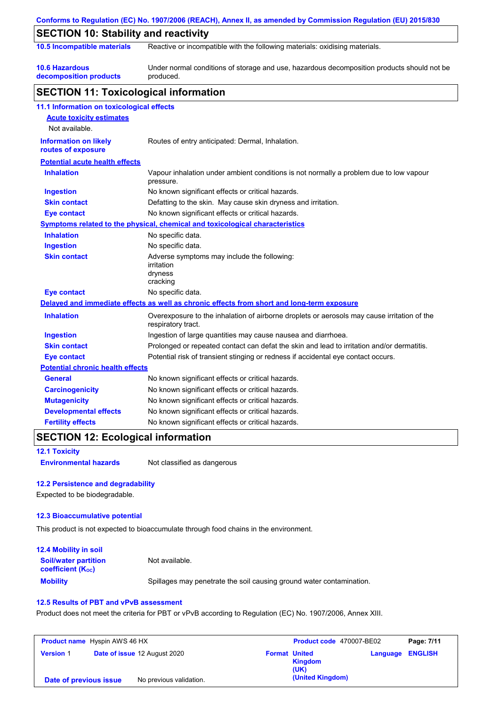|                                                    | Conforms to Regulation (EC) No. 1907/2006 (REACH), Annex II, as amended by Commission Regulation (EU) 2015/830    |
|----------------------------------------------------|-------------------------------------------------------------------------------------------------------------------|
| <b>SECTION 10: Stability and reactivity</b>        |                                                                                                                   |
| 10.5 Incompatible materials                        | Reactive or incompatible with the following materials: oxidising materials.                                       |
| <b>10.6 Hazardous</b><br>decomposition products    | Under normal conditions of storage and use, hazardous decomposition products should not be<br>produced.           |
| <b>SECTION 11: Toxicological information</b>       |                                                                                                                   |
| 11.1 Information on toxicological effects          |                                                                                                                   |
| <b>Acute toxicity estimates</b>                    |                                                                                                                   |
| Not available.                                     |                                                                                                                   |
| <b>Information on likely</b><br>routes of exposure | Routes of entry anticipated: Dermal, Inhalation.                                                                  |
| <b>Potential acute health effects</b>              |                                                                                                                   |
| <b>Inhalation</b>                                  | Vapour inhalation under ambient conditions is not normally a problem due to low vapour<br>pressure.               |
| <b>Ingestion</b>                                   | No known significant effects or critical hazards.                                                                 |
| <b>Skin contact</b>                                | Defatting to the skin. May cause skin dryness and irritation.                                                     |
| Eye contact                                        | No known significant effects or critical hazards.                                                                 |
|                                                    | <u>Symptoms related to the physical, chemical and toxicological characteristics</u>                               |
| <b>Inhalation</b>                                  | No specific data.                                                                                                 |
| <b>Ingestion</b>                                   | No specific data.                                                                                                 |
| <b>Skin contact</b>                                | Adverse symptoms may include the following:<br>irritation<br>dryness<br>cracking                                  |
| <b>Eye contact</b>                                 | No specific data.                                                                                                 |
|                                                    | Delayed and immediate effects as well as chronic effects from short and long-term exposure                        |
| <b>Inhalation</b>                                  | Overexposure to the inhalation of airborne droplets or aerosols may cause irritation of the<br>respiratory tract. |
| <b>Ingestion</b>                                   | Ingestion of large quantities may cause nausea and diarrhoea.                                                     |
| <b>Skin contact</b>                                | Prolonged or repeated contact can defat the skin and lead to irritation and/or dermatitis.                        |
| <b>Eye contact</b>                                 | Potential risk of transient stinging or redness if accidental eye contact occurs.                                 |
| <b>Potential chronic health effects</b>            |                                                                                                                   |
| <b>General</b>                                     | No known significant effects or critical hazards.                                                                 |
| <b>Carcinogenicity</b>                             | No known significant effects or critical hazards.                                                                 |
| <b>Mutagenicity</b>                                | No known significant effects or critical hazards.                                                                 |
| <b>Developmental effects</b>                       | No known significant effects or critical hazards.                                                                 |
| <b>Fertility effects</b>                           | No known significant effects or critical hazards.                                                                 |

# **SECTION 12: Ecological information**

**12.1 Toxicity**

**Environmental hazards** Not classified as dangerous

### **12.2 Persistence and degradability**

Expected to be biodegradable.

### **12.3 Bioaccumulative potential**

This product is not expected to bioaccumulate through food chains in the environment.

| <b>12.4 Mobility in soil</b>                                  |                                                                      |
|---------------------------------------------------------------|----------------------------------------------------------------------|
| <b>Soil/water partition</b><br>coefficient (K <sub>oc</sub> ) | Not available.                                                       |
| <b>Mobility</b>                                               | Spillages may penetrate the soil causing ground water contamination. |

### **12.5 Results of PBT and vPvB assessment**

Product does not meet the criteria for PBT or vPvB according to Regulation (EC) No. 1907/2006, Annex XIII.

| <b>Product name</b> Hyspin AWS 46 HX |  | <b>Product code</b> 470007-BE02 |                      | Page: 7/11             |                         |  |
|--------------------------------------|--|---------------------------------|----------------------|------------------------|-------------------------|--|
| <b>Version 1</b>                     |  | Date of issue 12 August 2020    | <b>Format United</b> | <b>Kingdom</b><br>(UK) | <b>Language ENGLISH</b> |  |
| Date of previous issue               |  | No previous validation.         |                      | (United Kingdom)       |                         |  |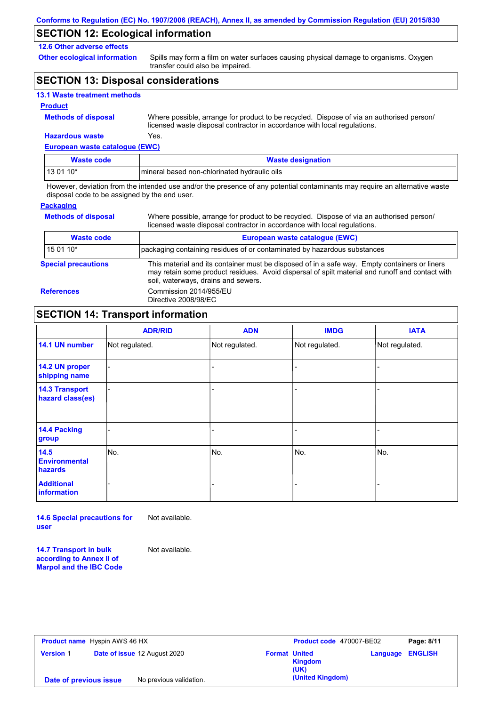### **SECTION 12: Ecological information**

### **12.6 Other adverse effects**

**Other ecological information**

Spills may form a film on water surfaces causing physical damage to organisms. Oxygen transfer could also be impaired.

### **SECTION 13: Disposal considerations**

| <b>13.1 Waste treatment methods</b> |  |  |  |
|-------------------------------------|--|--|--|
|-------------------------------------|--|--|--|

#### **Product**

**Methods of disposal**

**Hazardous waste** Yes. Where possible, arrange for product to be recycled. Dispose of via an authorised person/ licensed waste disposal contractor in accordance with local regulations.

**European waste catalogue (EWC)**

| Waste code | <b>Waste designation</b>                     |
|------------|----------------------------------------------|
| $130110*$  | mineral based non-chlorinated hydraulic oils |

However, deviation from the intended use and/or the presence of any potential contaminants may require an alternative waste disposal code to be assigned by the end user.

#### **Packaging**

**Methods of disposal**

Where possible, arrange for product to be recycled. Dispose of via an authorised person/ licensed waste disposal contractor in accordance with local regulations.

| <b>Waste code</b>          | European waste catalogue (EWC)                                                                                                                                                                                                          |  |
|----------------------------|-----------------------------------------------------------------------------------------------------------------------------------------------------------------------------------------------------------------------------------------|--|
| 15 01 10*                  | packaging containing residues of or contaminated by hazardous substances                                                                                                                                                                |  |
| <b>Special precautions</b> | This material and its container must be disposed of in a safe way. Empty containers or liners<br>may retain some product residues. Avoid dispersal of spilt material and runoff and contact with<br>soil, waterways, drains and sewers. |  |
| <b>References</b>          | Commission 2014/955/EU<br>Directive 2008/98/EC                                                                                                                                                                                          |  |

# **SECTION 14: Transport information**

|                                           | <b>ADR/RID</b> | <b>ADN</b>     | <b>IMDG</b>    | <b>IATA</b>    |
|-------------------------------------------|----------------|----------------|----------------|----------------|
| 14.1 UN number                            | Not regulated. | Not regulated. | Not regulated. | Not regulated. |
| 14.2 UN proper<br>shipping name           |                |                |                |                |
| <b>14.3 Transport</b><br>hazard class(es) |                |                | -              |                |
| 14.4 Packing<br>group                     |                |                |                |                |
| 14.5<br><b>Environmental</b><br>hazards   | No.            | No.            | No.            | No.            |
| <b>Additional</b><br>information          |                |                | ۰              |                |

**14.6 Special precautions for user** Not available.

**14.7 Transport in bulk according to Annex II of Marpol and the IBC Code** Not available.

**Product name** Hyspin AWS 46 HX **Version** 1 **Product code** 470007-BE02 **Page: 8/11 Date of issue** 12 August 2020 **Format United Kingdom (UK) Language ENGLISH Date of previous issue** No previous validation. **Date of previous issue** No previous validation.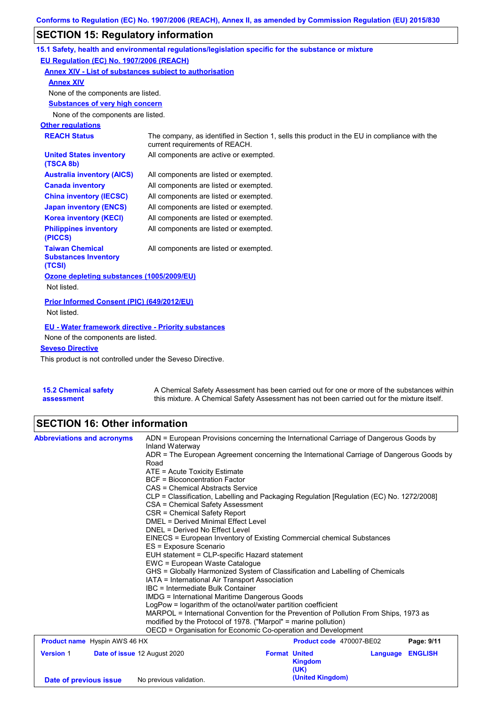# **SECTION 15: Regulatory information**

|                                                                 | 15.1 Safety, health and environmental regulations/legislation specific for the substance or mixture                            |
|-----------------------------------------------------------------|--------------------------------------------------------------------------------------------------------------------------------|
| EU Regulation (EC) No. 1907/2006 (REACH)                        |                                                                                                                                |
| Annex XIV - List of substances subject to authorisation         |                                                                                                                                |
| <b>Annex XIV</b>                                                |                                                                                                                                |
| None of the components are listed.                              |                                                                                                                                |
| <b>Substances of very high concern</b>                          |                                                                                                                                |
| None of the components are listed.                              |                                                                                                                                |
| <b>Other regulations</b>                                        |                                                                                                                                |
| <b>REACH Status</b>                                             | The company, as identified in Section 1, sells this product in the EU in compliance with the<br>current requirements of REACH. |
| <b>United States inventory</b><br>(TSCA 8b)                     | All components are active or exempted.                                                                                         |
| <b>Australia inventory (AICS)</b>                               | All components are listed or exempted.                                                                                         |
| <b>Canada inventory</b>                                         | All components are listed or exempted.                                                                                         |
| <b>China inventory (IECSC)</b>                                  | All components are listed or exempted.                                                                                         |
| <b>Japan inventory (ENCS)</b>                                   | All components are listed or exempted.                                                                                         |
| <b>Korea inventory (KECI)</b>                                   | All components are listed or exempted.                                                                                         |
| <b>Philippines inventory</b><br>(PICCS)                         | All components are listed or exempted.                                                                                         |
| <b>Taiwan Chemical</b><br><b>Substances Inventory</b><br>(TCSI) | All components are listed or exempted.                                                                                         |
| Ozone depleting substances (1005/2009/EU)                       |                                                                                                                                |
| Not listed.                                                     |                                                                                                                                |
| Prior Informed Consent (PIC) (649/2012/EU)                      |                                                                                                                                |
| Not listed.                                                     |                                                                                                                                |
| <b>EU - Water framework directive - Priority substances</b>     |                                                                                                                                |
| None of the components are listed.                              |                                                                                                                                |
| <b>Seveso Directive</b>                                         |                                                                                                                                |
|                                                                 |                                                                                                                                |

This product is not controlled under the Seveso Directive.

| 15.2 Chemical safety | A Chemical Safety Assessment has been carried out for one or more of the substances within  |
|----------------------|---------------------------------------------------------------------------------------------|
| assessment           | this mixture. A Chemical Safety Assessment has not been carried out for the mixture itself. |

# **SECTION 16: Other information**

| <b>Abbreviations and acronyms</b>                | ADN = European Provisions concerning the International Carriage of Dangerous Goods by                                                                      |                          |                            |  |  |  |
|--------------------------------------------------|------------------------------------------------------------------------------------------------------------------------------------------------------------|--------------------------|----------------------------|--|--|--|
|                                                  | Inland Waterway                                                                                                                                            |                          |                            |  |  |  |
|                                                  | ADR = The European Agreement concerning the International Carriage of Dangerous Goods by                                                                   |                          |                            |  |  |  |
|                                                  | Road<br>ATE = Acute Toxicity Estimate                                                                                                                      |                          |                            |  |  |  |
|                                                  |                                                                                                                                                            |                          |                            |  |  |  |
|                                                  | <b>BCF</b> = Bioconcentration Factor                                                                                                                       |                          |                            |  |  |  |
|                                                  | CAS = Chemical Abstracts Service                                                                                                                           |                          |                            |  |  |  |
|                                                  | CLP = Classification, Labelling and Packaging Regulation [Regulation (EC) No. 1272/2008]                                                                   |                          |                            |  |  |  |
|                                                  | CSA = Chemical Safety Assessment                                                                                                                           |                          |                            |  |  |  |
|                                                  | CSR = Chemical Safety Report<br>DMEL = Derived Minimal Effect Level                                                                                        |                          |                            |  |  |  |
|                                                  | DNEL = Derived No Effect Level                                                                                                                             |                          |                            |  |  |  |
|                                                  | EINECS = European Inventory of Existing Commercial chemical Substances<br>ES = Exposure Scenario<br>EUH statement = CLP-specific Hazard statement          |                          |                            |  |  |  |
|                                                  |                                                                                                                                                            |                          |                            |  |  |  |
|                                                  |                                                                                                                                                            |                          |                            |  |  |  |
|                                                  | EWC = European Waste Cataloque<br>GHS = Globally Harmonized System of Classification and Labelling of Chemicals                                            |                          |                            |  |  |  |
|                                                  |                                                                                                                                                            |                          |                            |  |  |  |
|                                                  | IATA = International Air Transport Association                                                                                                             |                          |                            |  |  |  |
|                                                  | IBC = Intermediate Bulk Container<br><b>IMDG = International Maritime Dangerous Goods</b><br>LogPow = logarithm of the octanol/water partition coefficient |                          |                            |  |  |  |
|                                                  |                                                                                                                                                            |                          |                            |  |  |  |
|                                                  |                                                                                                                                                            |                          |                            |  |  |  |
|                                                  | MARPOL = International Convention for the Prevention of Pollution From Ships, 1973 as                                                                      |                          |                            |  |  |  |
|                                                  | modified by the Protocol of 1978. ("Marpol" = marine pollution)                                                                                            |                          |                            |  |  |  |
|                                                  | OECD = Organisation for Economic Co-operation and Development                                                                                              |                          |                            |  |  |  |
| <b>Product name</b> Hyspin AWS 46 HX             |                                                                                                                                                            | Product code 470007-BE02 | Page: 9/11                 |  |  |  |
| <b>Version 1</b><br>Date of issue 12 August 2020 |                                                                                                                                                            | <b>Format United</b>     | <b>ENGLISH</b><br>Language |  |  |  |
|                                                  |                                                                                                                                                            | <b>Kingdom</b>           |                            |  |  |  |
|                                                  |                                                                                                                                                            | (UK)                     |                            |  |  |  |
| Date of previous issue                           | No previous validation.                                                                                                                                    | (United Kingdom)         |                            |  |  |  |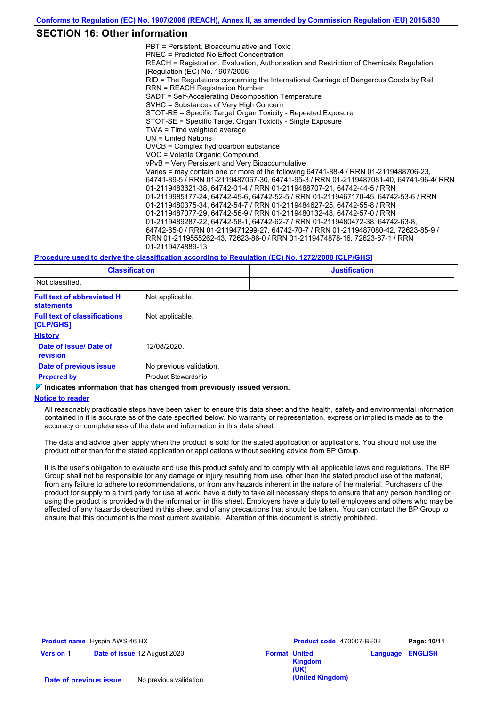### **SECTION 16: Other information**

PBT = Persistent, Bioaccumulative and Toxic PNEC = Predicted No Effect Concentration REACH = Registration, Evaluation, Authorisation and Restriction of Chemicals Regulation [Regulation (EC) No. 1907/2006] RID = The Regulations concerning the International Carriage of Dangerous Goods by Rail RRN = REACH Registration Number SADT = Self-Accelerating Decomposition Temperature SVHC = Substances of Very High Concern STOT-RE = Specific Target Organ Toxicity - Repeated Exposure STOT-SE = Specific Target Organ Toxicity - Single Exposure TWA = Time weighted average UN = United Nations UVCB = Complex hydrocarbon substance VOC = Volatile Organic Compound vPvB = Very Persistent and Very Bioaccumulative Varies = may contain one or more of the following 64741-88-4 / RRN 01-2119488706-23, 64741-89-5 / RRN 01-2119487067-30, 64741-95-3 / RRN 01-2119487081-40, 64741-96-4/ RRN 01-2119483621-38, 64742-01-4 / RRN 01-2119488707-21, 64742-44-5 / RRN 01-2119985177-24, 64742-45-6, 64742-52-5 / RRN 01-2119467170-45, 64742-53-6 / RRN 01-2119480375-34, 64742-54-7 / RRN 01-2119484627-25, 64742-55-8 / RRN 01-2119487077-29, 64742-56-9 / RRN 01-2119480132-48, 64742-57-0 / RRN 01-2119489287-22, 64742-58-1, 64742-62-7 / RRN 01-2119480472-38, 64742-63-8, 64742-65-0 / RRN 01-2119471299-27, 64742-70-7 / RRN 01-2119487080-42, 72623-85-9 / RRN 01-2119555262-43, 72623-86-0 / RRN 01-2119474878-16, 72623-87-1 / RRN 01-2119474889-13

#### **Procedure used to derive the classification according to Regulation (EC) No. 1272/2008 [CLP/GHS]**

| <b>Classification</b><br>Not classified.               |                            | <b>Justification</b> |  |  |
|--------------------------------------------------------|----------------------------|----------------------|--|--|
|                                                        |                            |                      |  |  |
| <b>Full text of abbreviated H</b><br><b>statements</b> | Not applicable.            |                      |  |  |
| <b>Full text of classifications</b><br>[CLP/GHS]       | Not applicable.            |                      |  |  |
| <b>History</b>                                         |                            |                      |  |  |
| Date of issue/ Date of<br>revision                     | 12/08/2020.                |                      |  |  |
| Date of previous issue                                 | No previous validation.    |                      |  |  |
| <b>Prepared by</b>                                     | <b>Product Stewardship</b> |                      |  |  |

**Indicates information that has changed from previously issued version.**

#### **Notice to reader**

All reasonably practicable steps have been taken to ensure this data sheet and the health, safety and environmental information contained in it is accurate as of the date specified below. No warranty or representation, express or implied is made as to the accuracy or completeness of the data and information in this data sheet.

The data and advice given apply when the product is sold for the stated application or applications. You should not use the product other than for the stated application or applications without seeking advice from BP Group.

It is the user's obligation to evaluate and use this product safely and to comply with all applicable laws and regulations. The BP Group shall not be responsible for any damage or injury resulting from use, other than the stated product use of the material, from any failure to adhere to recommendations, or from any hazards inherent in the nature of the material. Purchasers of the product for supply to a third party for use at work, have a duty to take all necessary steps to ensure that any person handling or using the product is provided with the information in this sheet. Employers have a duty to tell employees and others who may be affected of any hazards described in this sheet and of any precautions that should be taken. You can contact the BP Group to ensure that this document is the most current available. Alteration of this document is strictly prohibited.

|                        | <b>Product name</b> Hyspin AWS 46 HX |                              |                      | <b>Product code</b> 470007-BE02 |          | Page: 10/11    |
|------------------------|--------------------------------------|------------------------------|----------------------|---------------------------------|----------|----------------|
| <b>Version 1</b>       |                                      | Date of issue 12 August 2020 | <b>Format United</b> | <b>Kingdom</b><br>(UK)          | Language | <b>ENGLISH</b> |
| Date of previous issue |                                      | No previous validation.      |                      | (United Kingdom)                |          |                |